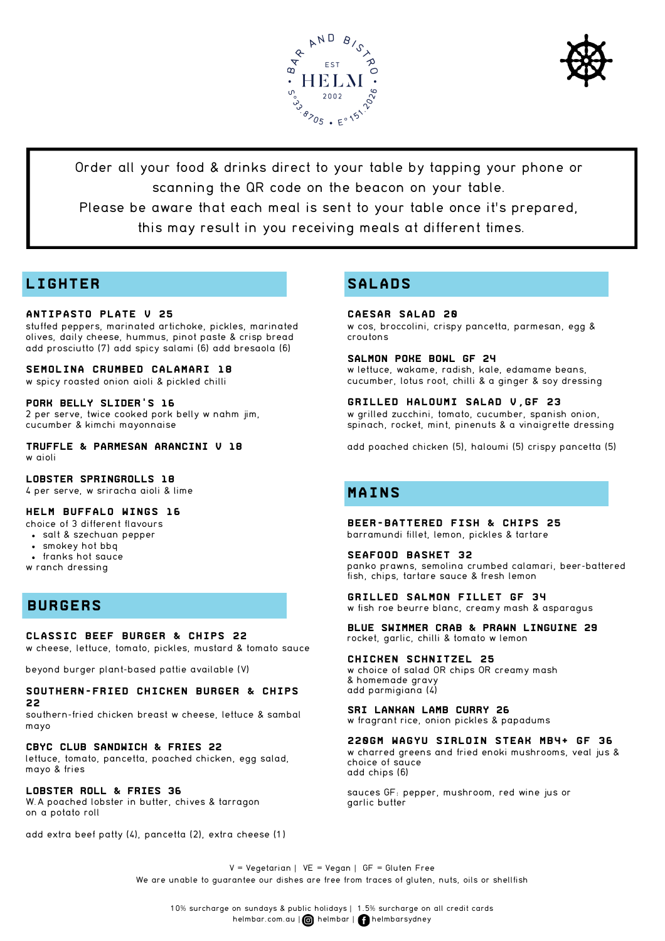



Order all your food & drinks direct to your table by tapping your phone or scanning the QR code on the beacon on your table.

Please be aware that each meal is sent to your table once it's prepared,

this may result in you receiving meals at different times.

## **LIGHTER**

### **antipasto Plate V 25**

stuffed peppers, marinated artichoke, pickles, marinated olives, daily cheese, hummus, pinot paste & crisp bread add prosciutto (7) add spicy salami (6) add bresaola (6)

#### **Semolina crumbed Calamari 18**

w spicy roasted onion aioli & pickled chilli

### **pork belly slider's 16**

2 per serve, twice cooked pork belly w nahm jim, cucumber & kimchi mayonnaise

**Truffle & Parmesan Arancini V 18** w aioli

### **LOBSTER SPRINGROLLS 18**

4 per serve, w sriracha aioli & lime

### **helm Buffalo Wings 16**

- choice of 3 different flavours
- salt & szechuan pepper
- smokey hot bbq
- franks hot sauce
- w ranch dressing

### **BURGERS**

### **Classic Beef Burger & Chips 22**

w cheese, lettuce, tomato, pickles, mustard & tomato sauce

beyond burger plant-based pattie available (V)

### **Southern-fried Chicken Burger & Chips 22**

southern-fried chicken breast w cheese, lettuce & sambal mayo

**CBYC Club Sandwich & FRIES 22**

lettuce, tomato, pancetta, poached chicken, egg salad, mayo & fries

### **Lobster roll & FRIES 36**

W.A poached lobster in butter, chives & tarragon on a potato roll

add extra beef patty (4), pancetta (2), extra cheese (1)

## **SALADS**

### **Caesar Salad 20**

w cos, broccolini, crispy pancetta, parmesan, egg & croutons

**Salmon Poke bowl GF 24** w lettuce, wakame, radish, kale, edamame beans,

cucumber, lotus root, chilli & a ginger & soy dressing

**Grilled Haloumi Salad V,GF 23** w grilled zucchini, tomato, cucumber, spanish onion, spinach, rocket, mint, pinenuts & a vinaigrette dressing

add poached chicken (5), haloumi (5) crispy pancetta (5)

### **MAINS**

**Beer-Battered Fish & Chips 25** barramundi fillet, lemon, pickles & tartare

**Seafood Basket 32** panko prawns, semolina crumbed calamari, beer-battered fish, chips, tartare sauce & fresh lemon

**GRILLED Salmon fillet GF 34** w fish roe beurre blanc, creamy mash & asparagus

**Blue Swimmer Crab & PRAWN Linguine 29** rocket, garlic, chilli & tomato w lemon

**Chicken Schnitzel 25** w choice of salad OR chips OR creamy mash & homemade gravy add parmigiana (4)

**SRI Lankan Lamb Curry 26** w fragrant rice, onion pickles & papadums

**220gm wagyu sirloin Steak mb4+ GF 36** w charred greens and fried enoki mushrooms, veal jus & choice of sauce add chips (6)

sauces GF: pepper, mushroom, red wine jus or garlic butter

 $V = Vegetarian$  | VE = Vegan | GF = Gluten Free We are unable to guarantee our dishes are free from traces of gluten, nuts, oils or shellfish